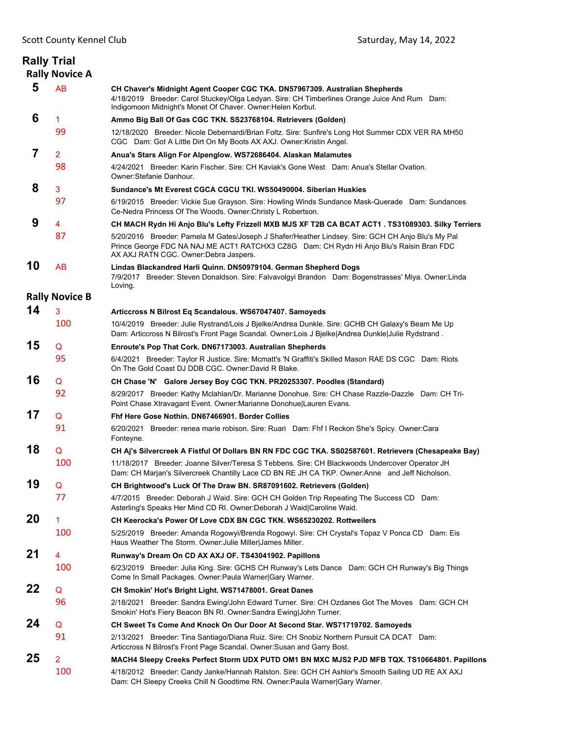|                | <b>Rally Trial</b><br><b>Rally Novice A</b> |                                                                                                                                                                                                                                            |
|----------------|---------------------------------------------|--------------------------------------------------------------------------------------------------------------------------------------------------------------------------------------------------------------------------------------------|
| 5              | AB                                          | CH Chaver's Midnight Agent Cooper CGC TKA. DN57967309. Australian Shepherds<br>4/18/2019 Breeder: Carol Stuckey/Olga Ledyan. Sire: CH Timberlines Orange Juice And Rum Dam:<br>Indigomoon Midnight's Monet Of Chaver. Owner: Helen Korbut. |
| 6              | 1                                           | Ammo Big Ball Of Gas CGC TKN. SS23768104. Retrievers (Golden)                                                                                                                                                                              |
|                | 99                                          | 12/18/2020 Breeder: Nicole Debernardi/Brian Foltz. Sire: Sunfire's Long Hot Summer CDX VER RA MH50<br>CGC Dam: Got A Little Dirt On My Boots AX AXJ. Owner: Kristin Angel.                                                                 |
| $\overline{7}$ | $\overline{2}$                              | Anua's Stars Align For Alpenglow. WS72686404. Alaskan Malamutes                                                                                                                                                                            |
|                | 98                                          | 4/24/2021 Breeder: Karin Fischer. Sire: CH Kaviak's Gone West Dam: Anua's Stellar Ovation.<br>Owner: Stefanie Danhour.                                                                                                                     |
| 8              | 3                                           | Sundance's Mt Everest CGCA CGCU TKI, WS50490004, Siberian Huskies                                                                                                                                                                          |
|                | 97                                          | 6/19/2015 Breeder: Vickie Sue Grayson. Sire: Howling Winds Sundance Mask-Querade Dam: Sundances<br>Ce-Nedra Princess Of The Woods. Owner: Christy L Robertson.                                                                             |
| 9              | 4                                           | CH MACH Rydn Hi Anjo Blu's Lefty Frizzell MXB MJS XF T2B CA BCAT ACT1 . TS31089303. Silky Terriers                                                                                                                                         |
|                | 87                                          | 5/20/2016 Breeder: Pamela M Gates/Joseph J Shafer/Heather Lindsey. Sire: GCH CH Anjo Blu's My Pal<br>Prince George FDC NA NAJ ME ACT1 RATCHX3 CZ8G Dam: CH Rydn Hi Anjo Blu's Raisin Bran FDC<br>AX AXJ RATN CGC. Owner: Debra Jaspers.    |
| 10             | <b>AB</b>                                   | Lindas Blackandred Harli Quinn. DN50979104. German Shepherd Dogs<br>7/9/2017 Breeder: Steven Donaldson, Sire: Falvavolgyi Brandon Dam: Bogenstrasses' Miya, Owner: Linda<br>Loving.                                                        |
|                | <b>Rally Novice B</b>                       |                                                                                                                                                                                                                                            |
| 14             | 3                                           | Articcross N Bilrost Eq Scandalous. WS67047407. Samoyeds                                                                                                                                                                                   |
|                | 100                                         | 10/4/2019 Breeder: Julie Rystrand/Lois J Bjelke/Andrea Dunkle. Sire: GCHB CH Galaxy's Beam Me Up<br>Dam: Articcross N Bilrost's Front Page Scandal. Owner:Lois J Bjelke Andrea Dunkle Julie Rydstrand.                                     |
| 15             | Q                                           | Enroute's Pop That Cork. DN67173003. Australian Shepherds                                                                                                                                                                                  |
|                | 95                                          | 6/4/2021 Breeder: Taylor R Justice. Sire: Mcmatt's 'N Graffiti's Skilled Mason RAE DS CGC Dam: Riots<br>On The Gold Coast DJ DDB CGC. Owner:David R Blake.                                                                                 |
| 16             | Q                                           | CH Chase 'N' Galore Jersey Boy CGC TKN. PR20253307. Poodles (Standard)                                                                                                                                                                     |
|                | 92                                          | 8/29/2017 Breeder: Kathy Mclahlan/Dr. Marianne Donohue. Sire: CH Chase Razzle-Dazzle Dam: CH Tri-<br>Point Chase Xtravagant Event. Owner: Marianne Donohue Lauren Evans.                                                                   |
| 17             | Q                                           | Fhf Here Gose Nothin, DN67466901, Border Collies                                                                                                                                                                                           |
|                | 91                                          | 6/20/2021 Breeder: renea marie robison. Sire: Ruari Dam: Fhf I Reckon She's Spicy. Owner:Cara<br>Fonteyne.                                                                                                                                 |
| 18             | Q                                           | CH Aj's Silvercreek A Fistful Of Dollars BN RN FDC CGC TKA. SS02587601. Retrievers (Chesapeake Bay)                                                                                                                                        |
|                | 100                                         | 11/18/2017 Breeder: Joanne Silver/Teresa S Tebbens. Sire: CH Blackwoods Undercover Operator JH<br>Dam: CH Marjan's Silvercreek Chantilly Lace CD BN RE JH CA TKP. Owner:Anne and Jeff Nicholson.                                           |
| 19             | Q                                           | CH Brightwood's Luck Of The Draw BN. SR87091602. Retrievers (Golden)                                                                                                                                                                       |
|                | 77                                          | 4/7/2015 Breeder: Deborah J Waid. Sire: GCH CH Golden Trip Repeating The Success CD Dam:<br>Asterling's Speaks Her Mind CD RI. Owner: Deborah J Waid Caroline Waid.                                                                        |
| 20             | 1                                           | CH Keerocka's Power Of Love CDX BN CGC TKN. WS65230202. Rottweilers                                                                                                                                                                        |
|                | 100                                         | 5/25/2019 Breeder: Amanda Rogowyi/Brenda Rogowyi. Sire: CH Crystal's Topaz V Ponca CD Dam: Eis<br>Haus Weather The Storm. Owner: Julie Miller James Miller.                                                                                |
| 21             | 4                                           | Runway's Dream On CD AX AXJ OF. TS43041902. Papillons                                                                                                                                                                                      |
|                | 100                                         | 6/23/2019 Breeder: Julia King. Sire: GCHS CH Runway's Lets Dance Dam: GCH CH Runway's Big Things<br>Come In Small Packages. Owner: Paula Warner Gary Warner.                                                                               |
| 22             | Q                                           | CH Smokin' Hot's Bright Light. WS71478001. Great Danes                                                                                                                                                                                     |
|                | 96                                          | 2/18/2021 Breeder: Sandra Ewing/John Edward Turner. Sire: CH Ozdanes Got The Moves Dam: GCH CH<br>Smokin' Hot's Fiery Beacon BN RI. Owner: Sandra Ewing John Turner.                                                                       |
| 24             | Q                                           | CH Sweet Ts Come And Knock On Our Door At Second Star. WS71719702. Samoyeds                                                                                                                                                                |
|                | 91                                          | 2/13/2021 Breeder: Tina Santiago/Diana Ruiz. Sire: CH Snobiz Northern Pursuit CA DCAT Dam:<br>Articcross N Bilrost's Front Page Scandal. Owner: Susan and Garry Bost.                                                                      |
| 25             | $\overline{2}$                              | MACH4 Sleepy Creeks Perfect Storm UDX PUTD OM1 BN MXC MJS2 PJD MFB TQX. TS10664801. Papillons                                                                                                                                              |
|                | 100                                         | 4/18/2012 Breeder: Candy Janke/Hannah Ralston. Sire: GCH CH Ashlor's Smooth Sailing UD RE AX AXJ<br>Dam: CH Sleepy Creeks Chill N Goodtime RN. Owner: Paula Warner Gary Warner.                                                            |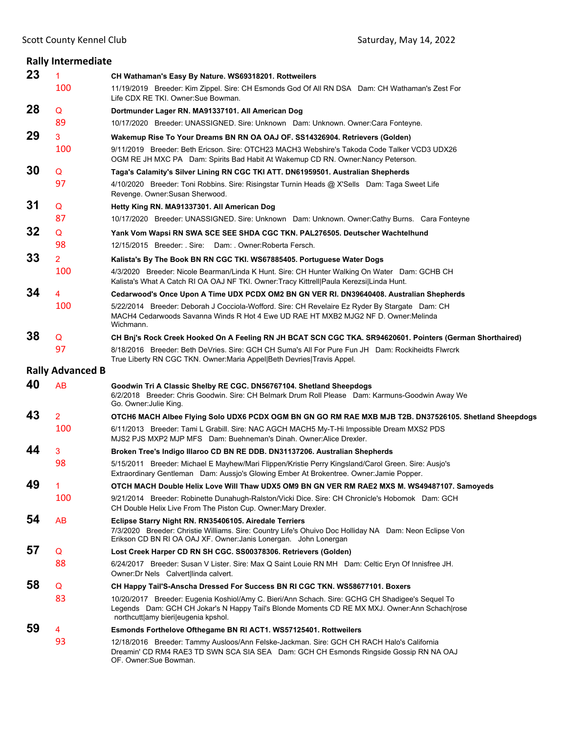|    | <b>Rally Intermediate</b> |                                                                                                                                                                                                                                         |
|----|---------------------------|-----------------------------------------------------------------------------------------------------------------------------------------------------------------------------------------------------------------------------------------|
| 23 | $\mathbf{1}$              | CH Wathaman's Easy By Nature. WS69318201. Rottweilers                                                                                                                                                                                   |
|    | 100                       | 11/19/2019 Breeder: Kim Zippel. Sire: CH Esmonds God Of All RN DSA Dam: CH Wathaman's Zest For<br>Life CDX RE TKI. Owner: Sue Bowman.                                                                                                   |
| 28 | Q                         | Dortmunder Lager RN. MA91337101. All American Dog                                                                                                                                                                                       |
|    | 89                        | 10/17/2020 Breeder: UNASSIGNED. Sire: Unknown Dam: Unknown. Owner:Cara Fonteyne.                                                                                                                                                        |
| 29 | 3                         | Wakemup Rise To Your Dreams BN RN OA OAJ OF. SS14326904. Retrievers (Golden)                                                                                                                                                            |
|    | 100                       | 9/11/2019 Breeder: Beth Ericson, Sire: OTCH23 MACH3 Webshire's Takoda Code Talker VCD3 UDX26<br>OGM RE JH MXC PA Dam: Spirits Bad Habit At Wakemup CD RN. Owner: Nancy Peterson.                                                        |
| 30 | Q                         | Taga's Calamity's Silver Lining RN CGC TKI ATT. DN61959501. Australian Shepherds                                                                                                                                                        |
|    | 97                        | 4/10/2020 Breeder: Toni Robbins. Sire: Risingstar Turnin Heads @ X'Sells Dam: Taga Sweet Life<br>Revenge. Owner: Susan Sherwood.                                                                                                        |
| 31 | Q                         | Hetty King RN. MA91337301. All American Dog                                                                                                                                                                                             |
|    | 87                        | 10/17/2020 Breeder: UNASSIGNED. Sire: Unknown Dam: Unknown. Owner:Cathy Burns. Cara Fonteyne                                                                                                                                            |
| 32 | Q                         | Yank Vom Wapsi RN SWA SCE SEE SHDA CGC TKN. PAL276505. Deutscher Wachtelhund                                                                                                                                                            |
|    | 98                        | 12/15/2015 Breeder: Sire: Dam: Owner: Roberta Fersch.                                                                                                                                                                                   |
| 33 | $\overline{2}$            | Kalista's By The Book BN RN CGC TKI. WS67885405. Portuguese Water Dogs                                                                                                                                                                  |
|    | 100                       | 4/3/2020 Breeder: Nicole Bearman/Linda K Hunt. Sire: CH Hunter Walking On Water Dam: GCHB CH<br>Kalista's What A Catch RI OA OAJ NF TKI. Owner: Tracy Kittrell Paula Kerezsi Linda Hunt.                                                |
| 34 | 4                         | Cedarwood's Once Upon A Time UDX PCDX OM2 BN GN VER RI. DN39640408. Australian Shepherds                                                                                                                                                |
|    | 100                       | 5/22/2014 Breeder: Deborah J Cocciola-Wofford. Sire: CH Revelaire Ez Ryder By Stargate Dam: CH<br>MACH4 Cedarwoods Savanna Winds R Hot 4 Ewe UD RAE HT MXB2 MJG2 NF D. Owner:Melinda<br>Wichmann.                                       |
| 38 | Q                         | CH Bnj's Rock Creek Hooked On A Feeling RN JH BCAT SCN CGC TKA. SR94620601. Pointers (German Shorthaired)                                                                                                                               |
|    | 97                        | 8/18/2016 Breeder: Beth DeVries. Sire: GCH CH Suma's All For Pure Fun JH Dam: Rockiheidts Flwrcrk<br>True Liberty RN CGC TKN. Owner: Maria Appel Beth Devries Travis Appel.                                                             |
|    | <b>Rally Advanced B</b>   |                                                                                                                                                                                                                                         |
| 40 | <b>AB</b>                 | Goodwin Tri A Classic Shelby RE CGC. DN56767104. Shetland Sheepdogs<br>6/2/2018 Breeder: Chris Goodwin. Sire: CH Belmark Drum Roll Please Dam: Karmuns-Goodwin Away We<br>Go. Owner: Julie King.                                        |
| 43 | $\overline{2}$            | OTCH6 MACH Albee Flying Solo UDX6 PCDX OGM BN GN GO RM RAE MXB MJB T2B. DN37526105. Shetland Sheepdogs                                                                                                                                  |
|    | 100                       | 6/11/2013 Breeder: Tami L Grabill. Sire: NAC AGCH MACH5 My-T-Hi Impossible Dream MXS2 PDS<br>MJS2 PJS MXP2 MJP MFS Dam: Buehneman's Dinah. Owner: Alice Drexler.                                                                        |
| 44 | 3                         | Broken Tree's Indigo Illaroo CD BN RE DDB. DN31137206. Australian Shepherds                                                                                                                                                             |
|    | 98                        | 5/15/2011 Breeder: Michael E Mayhew/Mari Flippen/Kristie Perry Kingsland/Carol Green. Sire: Ausjo's<br>Extraordinary Gentleman Dam: Aussjo's Glowing Ember At Brokentree. Owner: Jamie Popper.                                          |
| 49 | 1                         | OTCH MACH Double Helix Love Will Thaw UDX5 OM9 BN GN VER RM RAE2 MXS M. WS49487107. Samoyeds                                                                                                                                            |
|    | 100                       | 9/21/2014 Breeder: Robinette Dunahugh-Ralston/Vicki Dice. Sire: CH Chronicle's Hobomok Dam: GCH<br>CH Double Helix Live From The Piston Cup. Owner: Mary Drexler.                                                                       |
| 54 | AB                        | Eclipse Starry Night RN. RN35406105. Airedale Terriers<br>7/3/2020 Breeder: Christie Williams. Sire: Country Life's Ohuivo Doc Holliday NA Dam: Neon Eclipse Von<br>Erikson CD BN RI OA OAJ XF. Owner: Janis Lonergan. John Lonergan    |
| 57 | Q                         | Lost Creek Harper CD RN SH CGC. SS00378306. Retrievers (Golden)                                                                                                                                                                         |
|    | 88                        | 6/24/2017 Breeder: Susan V Lister. Sire: Max Q Saint Louie RN MH Dam: Celtic Eryn Of Innisfree JH.<br>Owner: Dr Nels Calvert linda calvert.                                                                                             |
| 58 | Q                         | CH Happy Tail'S-Anscha Dressed For Success BN RI CGC TKN. WS58677101. Boxers                                                                                                                                                            |
|    | 83                        | 10/20/2017 Breeder: Eugenia Koshiol/Amy C. Bieri/Ann Schach. Sire: GCHG CH Shadigee's Sequel To<br>Legends Dam: GCH CH Jokar's N Happy Tail's Blonde Moments CD RE MX MXJ. Owner:Ann Schach rose<br>northcutt amy bieri eugenia kpshol. |
| 59 | 4                         | <b>Esmonds Forthelove Ofthegame BN RI ACT1. WS57125401. Rottweilers</b>                                                                                                                                                                 |
|    | 93                        | 12/18/2016 Breeder: Tammy Ausloos/Ann Felske-Jackman. Sire: GCH CH RACH Halo's California<br>Dreamin' CD RM4 RAE3 TD SWN SCA SIA SEA Dam: GCH CH Esmonds Ringside Gossip RN NA OAJ<br>OF. Owner:Sue Bowman.                             |